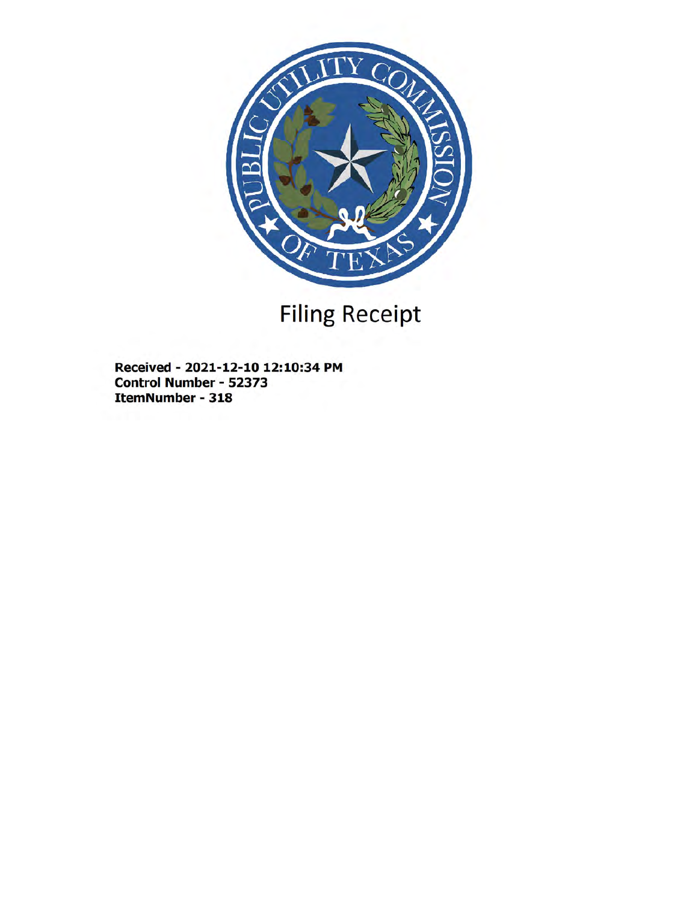

# Filing Receipt

Received - 2021-12-10 12:10:34 PM Control Number - 52373 ItemNumber - 318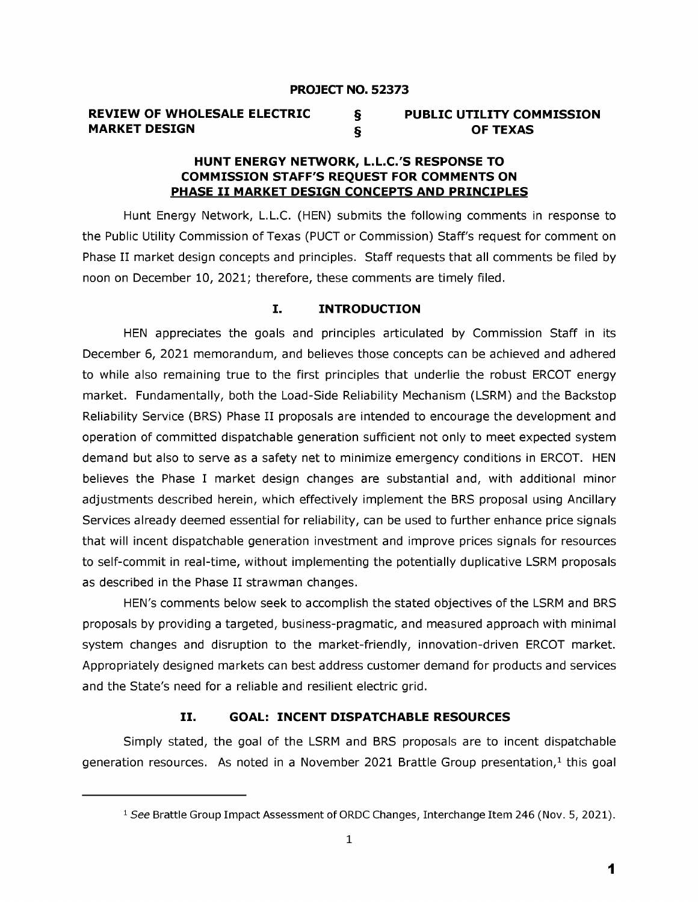| <b>REVIEW OF WHOLESALE ELECTRIC</b> | <b>PUBLIC UTILITY COMMISSION</b> |
|-------------------------------------|----------------------------------|
| <b>MARKET DESIGN</b>                | <b>OF TEXAS</b>                  |

#### HUNT ENERGY NETWORK, L.L.C.'S RESPONSE TO COMMISSION STAFF'S REQUEST FOR COMMENTS ON PHASE II MARKET DESIGN CONCEPTS AND PRINCIPLES

Hunt Energy Network, L.L.C. (HEN) submits the following comments in response to the Public Utility Commission of Texas (PUCT or Commission) Staff's request for comment on Phase II market design concepts and principles. Staff requests that all comments be filed by noon on December 10, 2021; therefore, these comments are timely filed.

#### I. INTRODUCTION

HEN appreciates the goals and principles articulated by Commission Staff in its December 6, 2021 memorandum, and believes those concepts can be achieved and adhered to while also remaining true to the first principles that underlie the robust ERCOT energy market. Fundamentally, both the Load-Side Reliability Mechanism (LSRM) and the Backstop Reliability Service (BRS) Phase II proposals are intended to encourage the development and operation of committed dispatchable generation sufficient not only to meet expected system demand but also to serve as a safety net to minimize emergency conditions in ERCOT. HEN believes the Phase I market design changes are substantial and, with additional minor adjustments described herein, which effectively implement the BRS proposal using Ancillary Services already deemed essential for reliability, can be used to further enhance price signals that will incent dispatchable generation investment and improve prices signals for resources to self-commit in real-time, without implementing the potentially duplicative LSRM proposals as described in the Phase II strawman changes.

HEN's comments below seek to accomplish the stated objectives of the LSRM and BRS proposals by providing a targeted, business-pragmatic, and measured approach with minimal system changes and disruption to the market-friendly, innovation-driven ERCOT market. Appropriately designed markets can best address customer demand for products and services and the State's need for a reliable and resilient electric grid.

#### II. GOAL: INCENT DISPATCHABLE RESOURCES

Simply stated, the goal of the LSRM and BRS proposals are to incent dispatchable generation resources. As noted in a November 2021 Brattle Group presentation, $<sup>1</sup>$  this goal</sup>

<sup>&</sup>lt;sup>1</sup> See Brattle Group Impact Assessment of ORDC Changes, Interchange Item 246 (Nov. 5, 2021).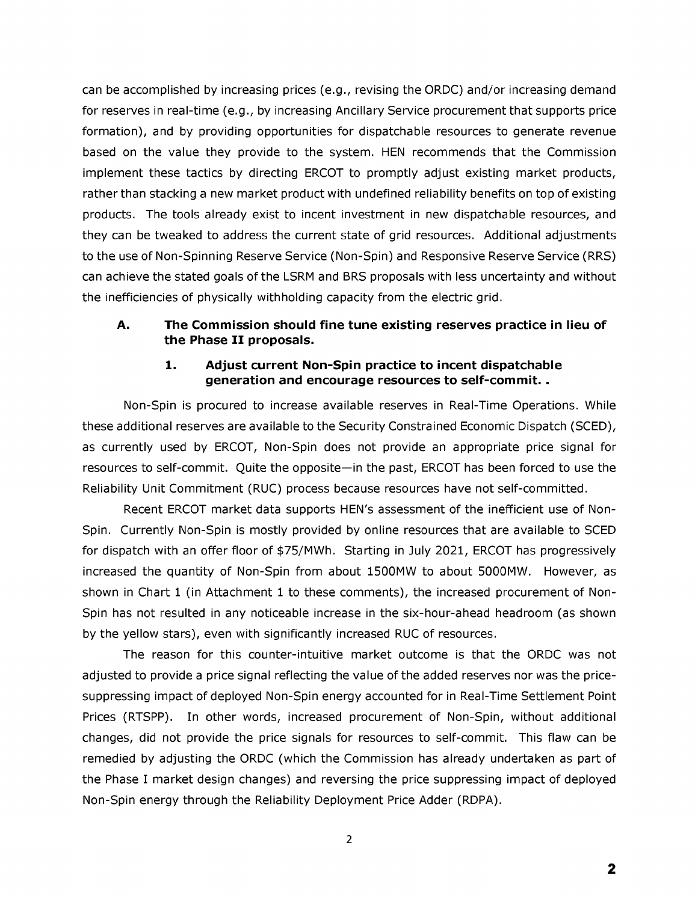can be accomplished by increasing prices (e.g., revising the ORDC) and/or increasing demand for reserves in real-time (e.g., by increasing Ancillary Service procurement that supports price formation), and by providing opportunities for dispatchable resources to generate revenue based on the value they provide to the system. HEN recommends that the Commission implement these tactics by directing ERCOT to promptly adjust existing market products, rather than stacking a new market product with undefined reliability benefits on top of existing products. The tools already exist to incent investment in new dispatchable resources, and they can be tweaked to address the current state of grid resources. Additional adjustments to the use of Non-Spinning Reserve Service (Non-Spin) and Responsive Reserve Service (RRS) can achieve the stated goals of the LSRM and BRS proposals with less uncertainty and without the inefficiencies of physically withholding capacity from the electric grid.

# A. The Commission should fine tune existing reserves practice in lieu of the Phase II proposals.

# 1. Adjust current Non-Spin practice to incent dispatchable generation and encourage resources to self-commit. .

Non-Spin is procured to increase available reserves in Real-Time Operations. While these additional reserves are available to the Security Constrained Economic Dispatch (SCED), as currently used by ERCOT, Non-Spin does not provide an appropriate price signal for resources to self-commit. Quite the opposite-in the past, ERCOT has been forced to use the Reliability Unit Commitment (RUC) process because resources have not self-committed.

Recent ERCOT market data supports HEN's assessment of the inefficient use of Non-Spin. Currently Non-Spin is mostly provided by online resources that are available to SCED for dispatch with an offer floor of \$75/MWh. Starting in July 2021, ERCOT has progressively increased the quantity of Non-Spin from about 1500MW to about 5000MW. However, as shown in Chart 1 (in Attachment 1 to these comments), the increased procurement of Non-Spin has not resulted in any noticeable increase in the six-hour-ahead headroom (as shown by the yellow stars), even with significantly increased RUC of resources.

The reason for this counter-intuitive market outcome is that the ORDC was not adjusted to provide a price signal reflecting the value of the added reserves nor was the pricesuppressing impact of deployed Non-Spin energy accounted for in Real-Time Settlement Point Prices (RTSPP). In other words, increased procurement of Non-Spin, without additional changes, did not provide the price signals for resources to self-commit. This flaw can be remedied by adjusting the ORDC (which the Commission has already undertaken as part of the Phase I market design changes) and reversing the price suppressing impact of deployed Non-Spin energy through the Reliability Deployment Price Adder (RDPA).

<sup>2</sup>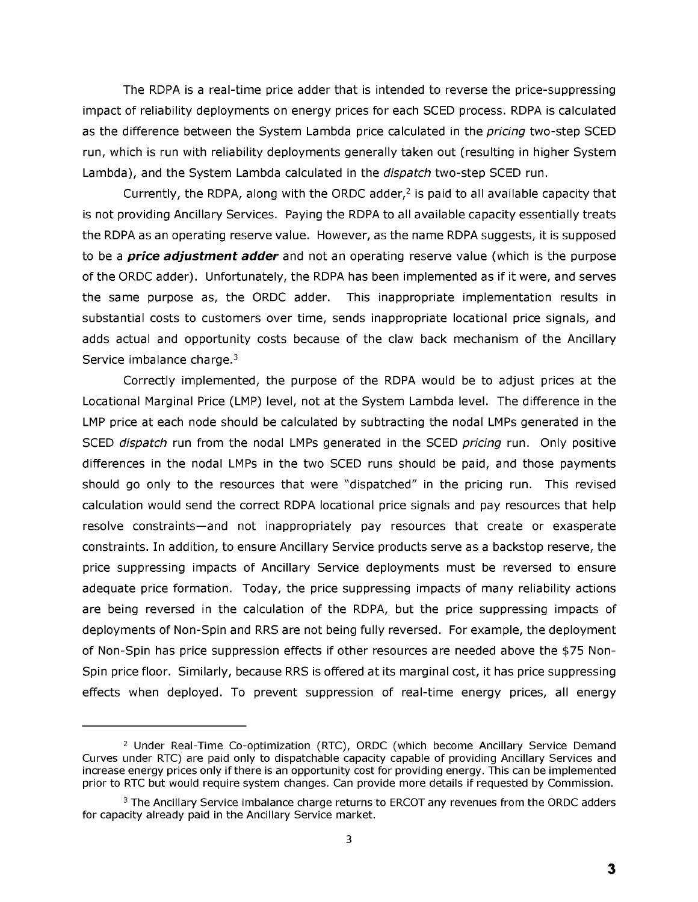The RDPA is a real-time price adder that is intended to reverse the price-suppressing impact of reliability deployments on energy prices for each SCED process. RDPA is calculated as the difference between the System Lambda price calculated in the *pricing* two-step SCED run, which is run with reliability deployments generally taken out (resulting in higher System Lambda), and the System Lambda calculated in the *dispatch* two-step SCED run.

Currently, the RDPA, along with the ORDC adder, $<sup>2</sup>$  is paid to all available capacity that</sup> is not providing Ancillary Services. Paying the RDPA to all available capacity essentially treats the RDPA as an operating reserve value. However, as the name RDPA suggests, it is supposed to be a *price adjustment* adder and not an operating reserve value ( which is the purpose of the ORDC adder). Unfortunately, the RDPA has been implemented as if it were, and serves the same purpose as, the ORDC adder. This inappropriate implementation results in substantial costs to customers over time, sends inappropriate Iocational price signals, and adds actual and opportunity costs because of the claw back mechanism of the Ancillary Service imbalance charge.<sup>3</sup>

Correctly implemented, the purpose of the RDPA would be to adjust prices at the Locational Marginal Price (LMP) level, not at the System Lambda level. The difference in the LMP price at each node should be calculated by subtracting the nodal LMPs generated in the SCED *dispatch* run from the nodal LMPs generated in the SCED *pricing* run. Only positive differences in the nodal LMPs in the two SCED runs should be paid, and those payments should go only to the resources that were "dispatched" in the pricing run. This revised calculation would send the correct RDPA Iocational price signals and pay resources that help resolve constraints-and not inappropriately pay resources that create or exasperate constraints. In addition, to ensure Ancillary Service products serve as a backstop reserve, the price suppressing impacts of Ancillary Service deployments must be reversed to ensure adequate price formation. Today, the price suppressing impacts of many reliability actions are being reversed in the calculation of the RDPA, but the price suppressing impacts of deployments of Non-Spin and RRS are not being fully reversed. For example, the deployment of Non-Spin has price suppression effects if other resources are needed above the \$75 Non-Spin price floor. Similarly, because RRS is offered at its marginal cost, it has price suppressing effects when deployed. To prevent suppression of real-time energy prices, all energy

<sup>&</sup>lt;sup>2</sup> Under Real-Time Co-optimization (RTC), ORDC (which become Ancillary Service Demand Curves under RTC) are paid only to dispatchable capacity capable of providing Ancillary Services and increase energy prices only if there is an opportunity cost for providing energy. This can be implemented prior to RTC but would require system changes. Can provide more details if requested by Commission.

 $3$  The Ancillary Service imbalance charge returns to ERCOT any revenues from the ORDC adders for capacity already paid in the Ancillary Service market.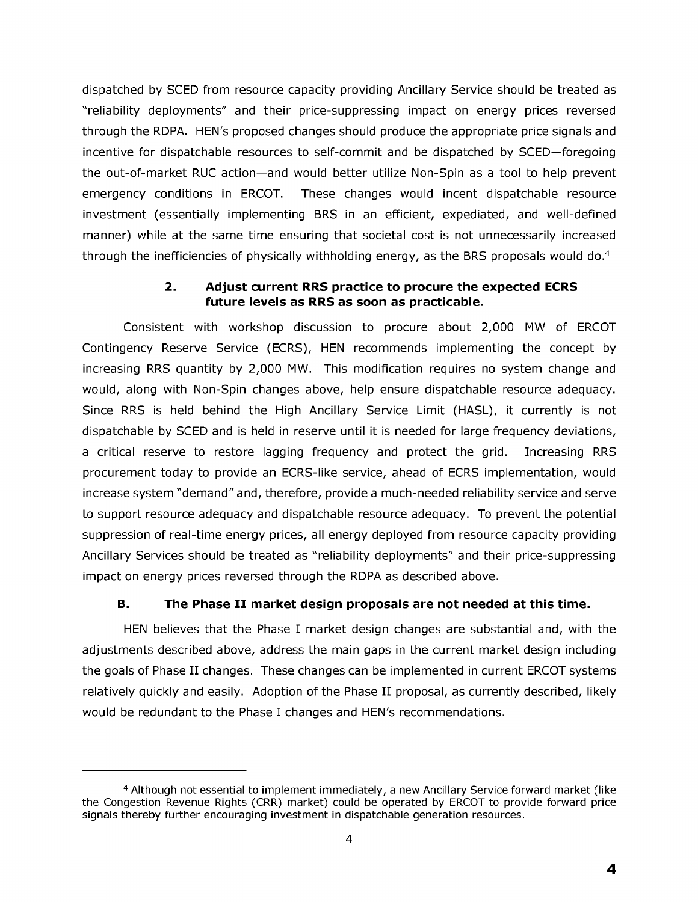dispatched by SCED from resource capacity providing Ancillary Service should be treated as " reliability deployments" and their price-suppressing impact on energy prices reversed through the RDPA. HEN's proposed changes should produce the appropriate price signals and incentive for dispatchable resources to self-commit and be dispatched by SCED-foregoing the out-of-market RUC action-and would better utilize Non-Spin as a tool to help prevent emergency conditions in ERCOT. These changes would incent dispatchable resource investment (essentially implementing BRS in an efficient, expediated, and well-defined manner) while at the same time ensuring that societal cost is not unnecessarily increased through the inefficiencies of physically withholding energy, as the BRS proposals would do.<sup>4</sup>

# 2. Adjust current RRS practice to procure the expected ECRS future levels as RRS as soon as practicable.

Consistent with workshop discussion to procure about 2,000 MW of ERCOT Contingency Reserve Service (ECRS), HEN recommends implementing the concept by increasing RRS quantity by 2,000 MW. This modification requires no system change and would, along with Non-Spin changes above, help ensure dispatchable resource adequacy. Since RRS is held behind the High Ancillary Service Limit (HASL), it currently is not dispatchable by SCED and is held in reserve until it is needed for large frequency deviations, a critical reserve to restore lagging frequency and protect the grid. Increasing RRS procurement today to provide an ECRS-like service, ahead of ECRS implementation, would increase system "demand" and, therefore, provide a much-needed reliability service and serve to support resource adequacy and dispatchable resource adequacy. To prevent the potential suppression of real-time energy prices, all energy deployed from resource capacity providing Ancillary Services should be treated as " reliability deployments" and their price-suppressing impact on energy prices reversed through the RDPA as described above.

# B. The Phase II market design proposals are not needed at this time.

HEN believes that the Phase I market design changes are substantial and, with the adjustments described above, address the main gaps in the current market design including the goals of Phase II changes. These changes can be implemented in current ERCOT systems relatively quickly and easily. Adoption of the Phase II proposal, as currently described, likely would be redundant to the Phase I changes and HEN's recommendations.

<sup>4</sup> Although not essential to implement immediately, a new Ancillary Service forward market (like the Congestion Revenue Rights (CRR) market) could be operated by ERCOT to provide forward price signals thereby further encouraging investment in dispatchable generation resources.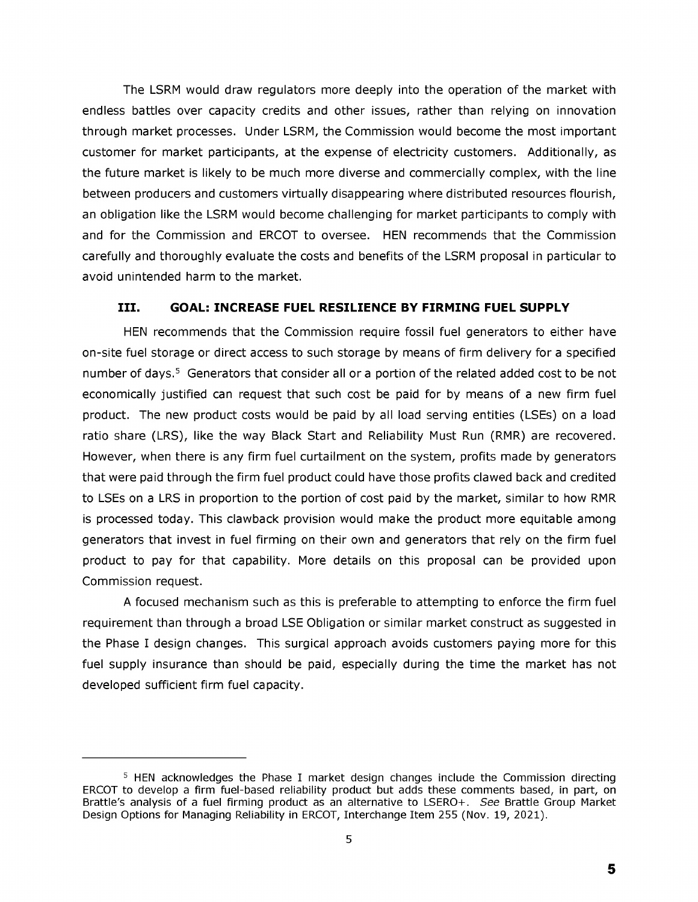The LSRM would draw regulators more deeply into the operation of the market with endless battles over capacity credits and other issues, rather than relying on innovation through market processes. Under LSRM, the Commission would become the most important customer for market participants, at the expense of electricity customers. Additionally, as the future market is likely to be much more diverse and commercially complex, with the line between producers and customers virtually disappearing where distributed resources flourish, an obligation like the LSRM would become challenging for market participants to comply with and for the Commission and ERCOT to oversee. HEN recommends that the Commission carefully and thoroughly evaluate the costs and benefits of the LSRM proposal in particular to avoid unintended harm to the market.

# III. GOAL: INCREASE FUEL RESILIENCE BY FIRMING FUEL SUPPLY

HEN recommends that the Commission require fossil fuel generators to either have on-site fuel storage or direct access to such storage by means of firm delivery for a specified number of days.<sup>5</sup> Generators that consider all or a portion of the related added cost to be not economically justified can request that such cost be paid for by means of a new firm fuel product. The new product costs would be paid by all load serving entities (LSEs) on a load ratio share (LRS), like the way Black Start and Reliability Must Run (RMR) are recovered. However, when there is any firm fuel curtailment on the system, profits made by generators that were paid through the firm fuel product could have those profits clawed back and credited to LSEs on a LRS in proportion to the portion of cost paid by the market, similar to how RMR is processed today. This clawback provision would make the product more equitable among generators that invest in fuel firming on their own and generators that rely on the firm fuel product to pay for that capability. More details on this proposal can be provided upon Commission request.

A focused mechanism such as this is preferable to attempting to enforce the firm fuel requirement than through a broad LSE Obligation or similar market construct as suggested in the Phase I design changes. This surgical approach avoids customers paying more for this fuel supply insurance than should be paid, especially during the time the market has not developed sufficient firm fuel capacity.

<sup>&</sup>lt;sup>5</sup> HEN acknowledges the Phase I market design changes include the Commission directing ERCOT to develop a firm fuel-based reliability product but adds these comments based, in part, on Brattle's analysis of a fuel firming product as an alternative to LSERO+. See Brattle Group Market Design Options for Managing Reliability in ERCOT, Interchange Item 255 (Nov. 19, 2021).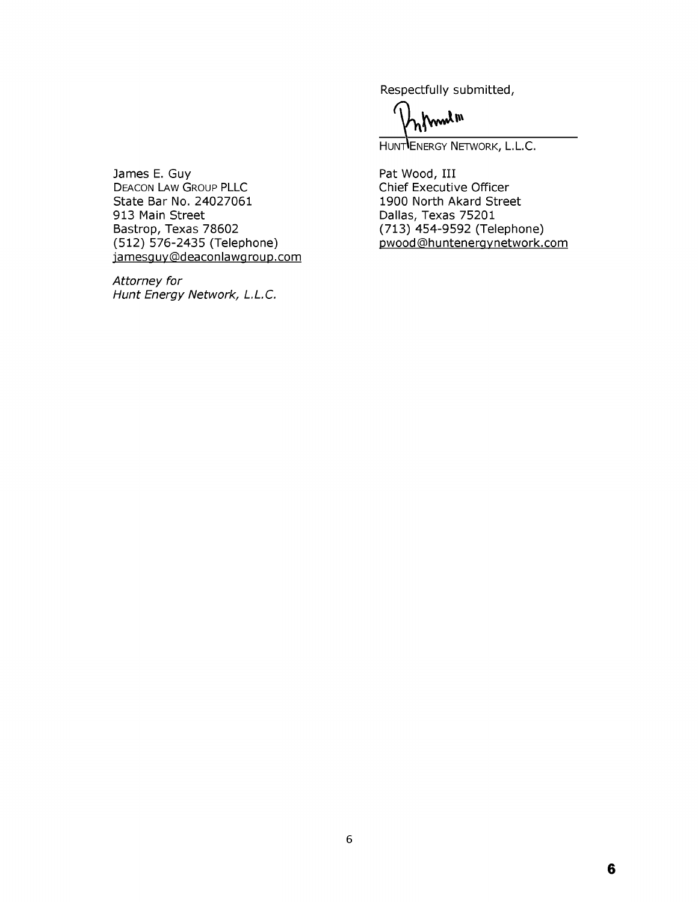Respectfully submitted,

mulm

HUNTLENERGY NETWORK, L.L.C.

Pat Wood, III Chief Executive Officer 1900 North Akard Street Dallas, Texas 75201 (713) 454-9592 (Telephone) pwood@huntenergynetwork.com

James E. Guy DEACON LAW GROUP PLLC State Bar No. 24027061 913 Main Street Bastrop, Texas 78602 (512) 576-2435 (Telephone) jamesguy@deaconlawgroup.com

*Attorney for Hunt Energy Network, L.L.C.*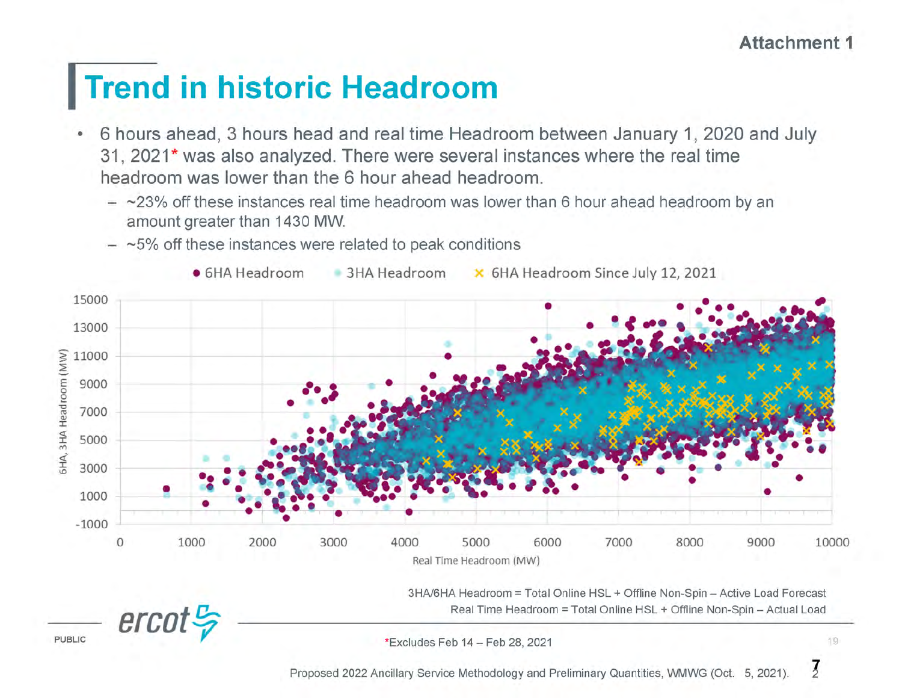# Trend in historic Headroom

- · 6 hours ahead, 3 hours head and real time Headroom between January 1, 2020 and July 31,2021\* was also analyzed. There were several instances where the real time headroom was lower than the 6 hour ahead headroom.
	- $\sim$ 23% off these instances real time headroom was lower than 6 hour ahead headroom by an amountgreater than 1430 MW.



 $-$  ~5% off these instances were related to peak conditions

3HA/6HA Headroom = Total Online HSL + Offline Non-Spin - Active Load Forecast Real Time Headroom = Total Online HSL + Offline Non-Spin - Actual Load

\*Excludes Feb 14 - Feb 28, 2021 19

ercot<sup>c</sup><sub>p</sub>